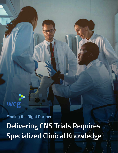# 

Finding the Right Partner

**Delivering CNS Trials Requires Specialized Clinical Knowledge**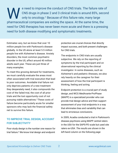e need to improve the conduct of CNS trials. The failure rate of CNS drugs in phase 2 and 3 clinical trials is around 85%, second only to oncology.<sup>1</sup> Because of this failure rate, many large W pharmaceutical companies are exiting the space. At the same time, the need for CNS therapies has never been more acute and there is a pressing need for both disease modifying and symptomatic treatments.

Estimates vary, but we know that over 10 million people live with Parkinson's disease globally. In the US alone at least 5.5 million people live with Alzheimer's disease. Anxiety disorders, the most common psychiatric disorder in the US, affect around 40 million adults each year. These are just three of many examples.

To meet this growing demand for treatments, we must carefully evaluate the areas most often associated with trial execution that lead to poor outcomes. Avoidable trial failure not only deprives patients of a new treatment they desperately need, it also compounds the cost of the failed trial, the cost of all prior trials and the lost opportunity cost of not pursuing viable alternatives.2 These costs of failure become particularly acute for smaller sponsors who may lack the financial safety net to survive this failure.

### TO IMPROVE TRIAL DESIGN, ACCOUNT FOR SUBJECTIVITY

Poor study design is the number one reason for trial failure.² We know trial design and endpoint

protection are crucial choices that directly impact success, and both present challenges for CNS trials.

The endpoints in CNS trials are usually subjective. We rely on the reporting of symptoms by the trial participant and on observational reporting by the clinical investigator. In some diseases, such as Alzheimer's and pediatric illnesses, we also rely heavily on the caregiver for their assessment of how the trial participant is thinking, feeling and acting.

Endpoint protection is a crucial part of study design, and WCG MedAvante-ProPhase (MAPP) is a specialized provider who can provide trial design advice and then support assessment of your trial endpoints in a way that eliminates bias and variability that can lead to erroneous conclusions.

In 2009, Acadia conducted a trial in Parkinson's disease psychosis using MAPP central raters in the USA for the SAPS-PD scale but used site raters ex-USA. *The results are shown in the left-hand column on the following page*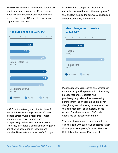The USA MAPP central raters found statistically significant separation for the 40 mg dose at week two and a trend towards significance at week 6, but the ex-USA site raters found no separation at any dose.<sup>3</sup>



MAPP central raters globally for its phase 3 trial and they saw strongly positive efficacy signals across multiple measures – most importantly, primary endpoints and prospectively defined secondary endpoints. Thus, they eliminated a potential false negative and showed separation of test drug and placebo. *The results are shown to the top right.*

Based on these compelling results, FDA cancelled the need for a confirmatory phase 3 trial and fast-tracked the submission based on the robust centrally rated results.



Placebo response represents another issue in CNS trial design. The presentation of a strong placebo response—subjects who psychologically believe they are receiving benefits from the investigational drug even though they are unknowingly assigned to the trial's placebo arm—can adversely affect results. Placebo response in CNS trials appears to be increasing over time.<sup>1</sup>

"The placebo response is more a problem in clinical [trials] with subjective endpoints rather than objective endpoints," explains Nathaniel Katz, Adjunct Associate Professor of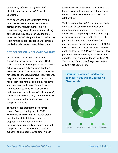Anesthesia, Tufts University School of Medicine, and founder of WCG's Analgesic Solutions<sup>1</sup>.

At WCG, we spearheaded training for trial participants that educates them how to self-report the relevant symptoms in a consistent way. Katz pioneered such training courses, and they have been used to train more than 50,000 trial participants. In this way, we minimize placebo response and increase the likelihood of an accurate trial outcome.

#### SITE SELECTION: A DELICATE BALANCE

Ineffective site selection is the second contributor to trial failure,<sup>2</sup> and again, CNS trials face unique challenges. Sponsors need to achieve a balance between sites that have extensive CNS trial experience and those who have less experience. Extensive trial experience may be an indicator for success but has the risk of competitive trials and trial participants who may have participated in multiple trials ("professional patients") or may even be participating in multiple trials ("trial shopping"). Less experienced sites may need more support but have untapped patient pools and fewer competitive studies.

To find the sites that fit the development sponsor's needs, we tap into the WCG Knowledge Base® with over 180,000 global investigators; this database contains proprietary information on over 93% of industry-sponsored studies, benchmarks and competitive performance data, as well as subscription and open-source data. We can

also access our database of almost 3,000 US hospitals and independent sites that perform research - sites with whom we have close relationships.

To demonstrate how WCG can enhance study enrollment through evidence-based site identification, we conducted a retrospective analysis of a completed phase II trial for major depressive disorder. In this US study of 250 participants, actual enrollment was 0.76 participants per site per month and took 13.24 months to complete using 25 sites. When we analyzed these sites, 28% were historically low performers based on being in the lowest two quartiles for performance (quartiles 3 and 4). *The site distribution that the sponsor used is shown in the figure below.*

Distribution of sites used by the sponsor in this Major Depressive Disorder trial:

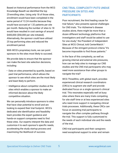Based on historical performance from the WCG Knowledge Base® we identified the top 25-enrolling sites. Using only 18 of those sites, enrollment would have been completed in the same period of 13.24 months because they would have accrued at 1.32 patients per site per month. Reducing the number of sites to 18 would have resulted in cost savings of around \$400,000 (\$50,000 per site initiated). Alternatively, the sponsor could have utilized 25 top performing sites and reduced the enrollment period.

With WCG's proprietary tools, we can point sponsors to the sites most likely to succeed.

We provide data to ensure that the sponsor can make the best site selection decisions, including:

- Data on sites presented by quartile, based on past trial performance, which allows the sponsor to see which sites are the most likely and least likely to perform.
- Intelligence about competitor studies at the sites which enables a sponsor to make an informed decision about the likely competitive situation.

We can personally introduce sponsors to sites that have clear potential to enroll and are looking to expand their trial footprint. WCG's dedicated site identification and feasibility team provides the expert guidance and hands-on support companies need to find these sites. Our experts interpret the data and customize it to each sponsor's specific needs, accelerating the study startup process and maximizing the likelihood of success.

#### CNS TRIAL COMPLEXITY PUTS UNDUE PRESSURE ON SITES AND PARTICIPANTS

Poor recruitment, the third leading cause for trial failure,² also presents special challenges for CNS trials. "For Alzheimer's disease studies alone, there might be more than a dozen different technology platforms that investigators and staff would be asked to use for one study," the President of Independent Sites at WCG Clinical, told CenterWatch.<sup>1</sup> Because of the stringent protocol criteria "it's become impossible to find those patients."

In the face of this complexity, as well as growing internal and external site pressures, how can we help sites to manage our CNS studies and the CNS trial participants who may need more assistance than other groups to navigate the trial?

WCG ThreeWire, with global reach, provides experienced clinical research coordinators (CRCs) to augment site staff and provide dedicated focus on a single sponsor's clinical trial. This resonates especially well at busy sites where there are many trials competing for site staff time or at less experienced sites who need more support in navigating clinical trials processes. Additionally, these CRCs can focus on assisting trial participants to navigate the often complex pathway through the trial. This support is fully customized to the needs of each individual site and the needs of the trial.

CNS trial participants and their caregivers need exceptional support to enter and remain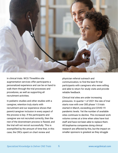

in clinical trials. WCG ThreeWire site augmentation services offer participants a personalized experience and can be on hand to walk them through the trial processes and procedures, as well as supporting all recruitment activities.

In pediatric studies and other studies with a caregiver, retention truly starts with recruitment and our experience shows that parent/caregiver inclusion in every aspect of the process is key. If the participants and caregiver are not recruited correctly, then the rest of the downstream process is flawed, and the trial will not recruit successfully. This is exemplified by the amount of time that, in this case, the CRCs spent on chart review and

physician referral outreach and communication, to find the best fit trial participants with caregivers who were willing and able to return for study visits and provide reliable feedback.

Clinical trial sites are under increasing pressures. In quarter 1 of 2021 the rate of trial starts rose with over 300 phase 1-3 trials started in March, exceeding pre-COVID-19 pandemic levels. Yet the number of available sites continues to decline. This increased work volume comes at a time when sites have lost staff and have not been able to replace them. All biopharma companies doing clinical research are affected by this, but the impact on smaller sponsors is greatest as they struggle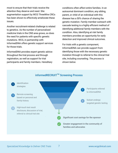most to ensure that their trials receive the attention they deserve and need. Site augmentation support by WCG ThreeWire CRCs has been shown to effectively ameliorate these issues.

Another recruitment-related challenge is related to genetics. As the number of personalized medicine trials in the CNS area grows, so does the need for patients with specific genetic mutations. WCG, in partnership with InformedDNA offers genetic support services for those trials.

InformedDNA provides expert genetic advice throughout the trial process and through registration, as well as support for trial participants and family members. Hereditary conditions often affect entire families. In an autosomal dominant condition, any sibling, parent, or child of an individual with this disease has a 50% chance of sharing the genetic mutation. Family member outreach with cascade testing is a highly efficient method of identifying additional family members with the condition. Also, identifying at risk family members provides an opportunity for early detection and improved clinical outcomes.

For trials with a genetic component, InformedDNA can provide support from identifying those with the necessary genetic mutation through to referral to the clinical trial site, including counseling. *The process is shown below.*



# informedRECRUIT<sup>™</sup> Screening Process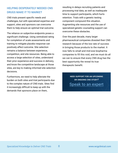## HELPING DESPERATELY NEEDED CNS DRUGS MAKE IT TO MARKET

CNS trials present specific needs and challenges, but with specialized expertise and support, sites and sponsors can overcome them to help ensure an optimal trial outcome.

The reliance on subjective endpoints poses a significant challenge. Using centralized rating for completion of scale assessments and training to mitigate placebo response can positively affect outcome. Site selection remains a balance between experience, competition, and site resources. Being able to access a large selection of sites, understand their prior experience and success in delivery, and know the competitive landscape at those sites, are key to making informed site selection decisions.

Furthermore, we need to help alleviate the burden on both sites and trial participants due to the complex nature of CNS trials. Sites find it increasingly difficult to keep up with the demands that sponsors place on them,

resulting in delays recruiting patients and processing trial data, as well as inadequate time to support participants, which hurts retention. Trials with a genetic testing component compound this situation. Augmenting site resources and the use of specialized genetic counseling support can overcome these obstacles.

Over the past decade, many larger pharmaceutical companies divested their CNS research because of the low rate of success in bringing those products to the market. It now falls to small and mid-size biopharma companies to fill this void, and we must do all we can to ensure that every CNS drug has the best opportunity the reveal its true therapeutic benefit.

> NEED SUPPORT FOR AN UPCOMING OR ONGOING CNS STUDY? [Speak to an expert](mailto:info@wcgclinical.com?cc=dtristao@wcgclinical.com&subject=Emerging%20Biopharma%20Clinical%20Trial%20Solutions%20Inquiry)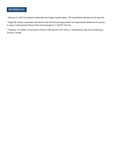#### **REFERENCES**

<sup>1.</sup> Salzman, S. CNS Trial Failures Problematic but Fixable, Experts Agree. The CenterWatch Monthly Vol 26 issue 06.

<sup>2</sup> Fogel, DB. Factors associated with clinical trials that fail and opportunities for improving the likelihood of success: A review. Contemporary Clinical Trials Communications 11 (2018) 156-164.

3. Friedman, JH (2009). Pimavanserin Phase III PDP Results ACP-103-012. Presented at AAN 2010 Conference, Toronto, Canada.